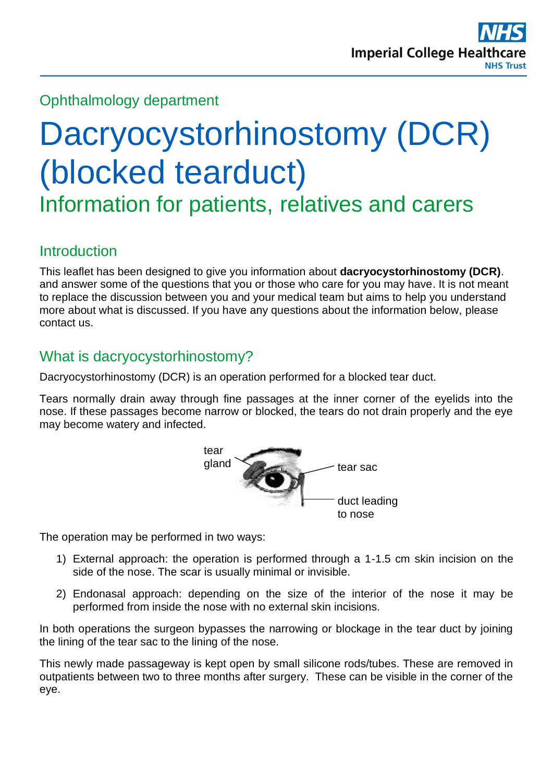# Ophthalmology department

# Dacryocystorhinostomy (DCR) (blocked tearduct)

Information for patients, relatives and carers

#### **Introduction**

This leaflet has been designed to give you information about **dacryocystorhinostomy (DCR)**. and answer some of the questions that you or those who care for you may have. It is not meant to replace the discussion between you and your medical team but aims to help you understand more about what is discussed. If you have any questions about the information below, please contact us.

#### What is dacryocystorhinostomy?

Dacryocystorhinostomy (DCR) is an operation performed for a blocked tear duct.

Tears normally drain away through fine passages at the inner corner of the eyelids into the nose. If these passages become narrow or blocked, the tears do not drain properly and the eye may become watery and infected.



The operation may be performed in two ways:

- 1) External approach: the operation is performed through a 1-1.5 cm skin incision on the side of the nose. The scar is usually minimal or invisible.
- 2) Endonasal approach: depending on the size of the interior of the nose it may be performed from inside the nose with no external skin incisions.

In both operations the surgeon bypasses the narrowing or blockage in the tear duct by joining the lining of the tear sac to the lining of the nose.

This newly made passageway is kept open by small silicone rods/tubes. These are removed in outpatients between two to three months after surgery. These can be visible in the corner of the eye.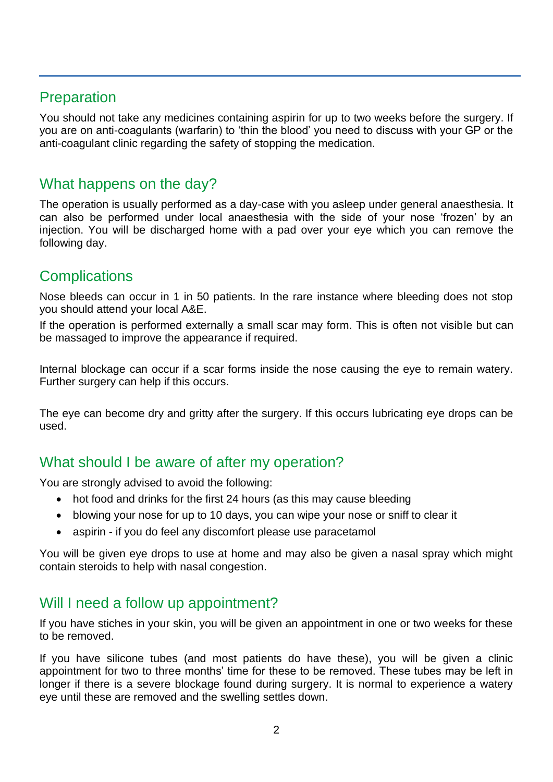#### **Preparation**

You should not take any medicines containing aspirin for up to two weeks before the surgery. If you are on anti-coagulants (warfarin) to 'thin the blood' you need to discuss with your GP or the anti-coagulant clinic regarding the safety of stopping the medication.

#### What happens on the day?

The operation is usually performed as a day-case with you asleep under general anaesthesia. It can also be performed under local anaesthesia with the side of your nose 'frozen' by an injection. You will be discharged home with a pad over your eye which you can remove the following day.

### **Complications**

Nose bleeds can occur in 1 in 50 patients. In the rare instance where bleeding does not stop you should attend your local A&E.

If the operation is performed externally a small scar may form. This is often not visible but can be massaged to improve the appearance if required.

Internal blockage can occur if a scar forms inside the nose causing the eye to remain watery. Further surgery can help if this occurs.

The eye can become dry and gritty after the surgery. If this occurs lubricating eye drops can be used.

#### What should I be aware of after my operation?

You are strongly advised to avoid the following:

- hot food and drinks for the first 24 hours (as this may cause bleeding
- blowing your nose for up to 10 days, you can wipe your nose or sniff to clear it
- aspirin if you do feel any discomfort please use paracetamol

You will be given eye drops to use at home and may also be given a nasal spray which might contain steroids to help with nasal congestion.

#### Will I need a follow up appointment?

If you have stiches in your skin, you will be given an appointment in one or two weeks for these to be removed.

If you have silicone tubes (and most patients do have these), you will be given a clinic appointment for two to three months' time for these to be removed. These tubes may be left in longer if there is a severe blockage found during surgery. It is normal to experience a watery eye until these are removed and the swelling settles down.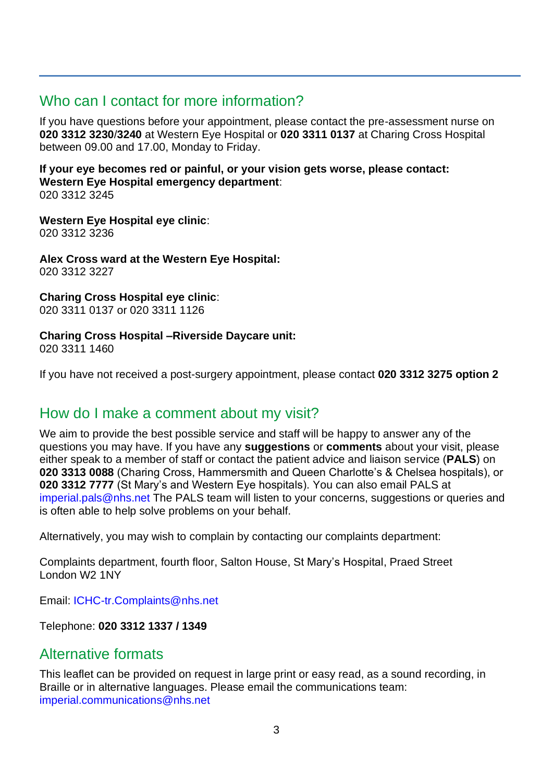#### Who can I contact for more information?

If you have questions before your appointment, please contact the pre-assessment nurse on **020 3312 3230**/**3240** at Western Eye Hospital or **020 3311 0137** at Charing Cross Hospital between 09.00 and 17.00, Monday to Friday.

**If your eye becomes red or painful, or your vision gets worse, please contact: Western Eye Hospital emergency department**: 020 3312 3245

**Western Eye Hospital eye clinic**: 020 3312 3236

**Alex Cross ward at the Western Eye Hospital:** 020 3312 3227

**Charing Cross Hospital eye clinic**: 020 3311 0137 or 020 3311 1126

# **Charing Cross Hospital –Riverside Daycare unit:**

020 3311 1460

If you have not received a post-surgery appointment, please contact **020 3312 3275 option 2**

#### How do I make a comment about my visit?

We aim to provide the best possible service and staff will be happy to answer any of the questions you may have. If you have any **suggestions** or **comments** about your visit, please either speak to a member of staff or contact the patient advice and liaison service (**PALS**) on **020 3313 0088** (Charing Cross, Hammersmith and Queen Charlotte's & Chelsea hospitals), or **020 3312 7777** (St Mary's and Western Eye hospitals). You can also email PALS at [imperial.pals@nhs.net](mailto:imperial.pals@nhs.net) The PALS team will listen to your concerns, suggestions or queries and is often able to help solve problems on your behalf.

Alternatively, you may wish to complain by contacting our complaints department:

Complaints department, fourth floor, Salton House, St Mary's Hospital, Praed Street London W2 1NY

Email: [ICHC-tr.Complaints@nhs.net](mailto:ICHC-tr.Complaints@nhs.net)

Telephone: **020 3312 1337 / 1349** 

#### Alternative formats

This leaflet can be provided on request in large print or easy read, as a sound recording, in Braille or in alternative languages. Please email the communications team: [imperial.communications@nhs.net](mailto:imperial.communications@nhs.net)